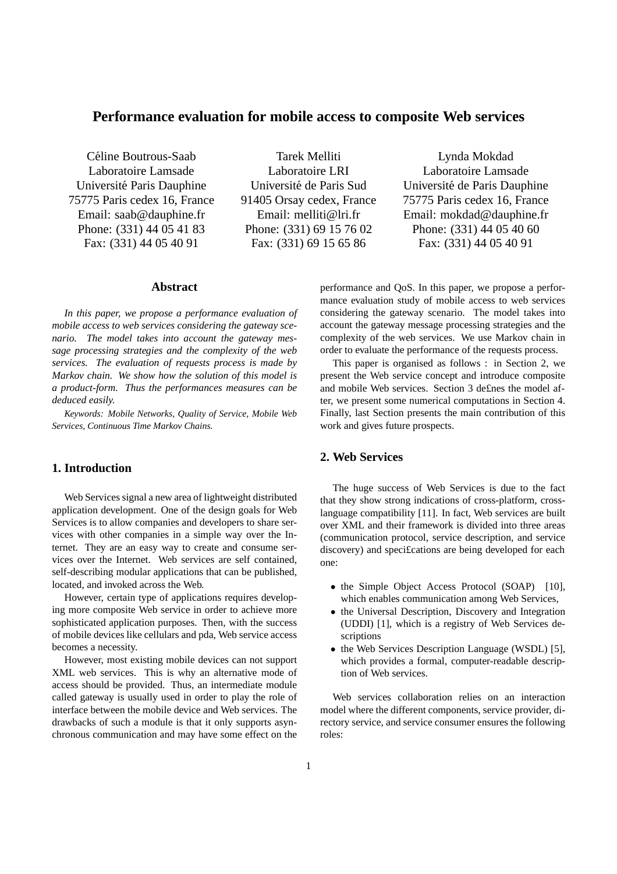## **Performance evaluation for mobile access to composite Web services**

Celine Boutrous-Saab ´ Laboratoire Lamsade Université Paris Dauphine 75775 Paris cedex 16, France Email: saab@dauphine.fr Phone: (331) 44 05 41 83 Fax: (331) 44 05 40 91

Tarek Melliti Laboratoire LRI Universite de Paris Sud ´ 91405 Orsay cedex, France Email: melliti@lri.fr Phone: (331) 69 15 76 02 Fax: (331) 69 15 65 86

Lynda Mokdad Laboratoire Lamsade Universite de Paris Dauphine ´ 75775 Paris cedex 16, France Email: mokdad@dauphine.fr Phone: (331) 44 05 40 60 Fax: (331) 44 05 40 91

# **Abstract**

*In this paper, we propose a performance evaluation of mobile access to web services considering the gateway scenario. The model takes into account the gateway message processing strategies and the complexity of the web services. The evaluation of requests process is made by Markov chain. We show how the solution of this model is a product-form. Thus the performances measures can be deduced easily.*

*Keywords: Mobile Networks, Quality of Service, Mobile Web Services, Continuous Time Markov Chains.*

#### **1. Introduction**

Web Services signal a new area of lightweight distributed application development. One of the design goals for Web Services is to allow companies and developers to share services with other companies in a simple way over the Internet. They are an easy way to create and consume services over the Internet. Web services are self contained, self-describing modular applications that can be published, located, and invoked across the Web.

However, certain type of applications requires developing more composite Web service in order to achieve more sophisticated application purposes. Then, with the success of mobile devices like cellulars and pda, Web service access becomes a necessity.

However, most existing mobile devices can not support XML web services. This is why an alternative mode of access should be provided. Thus, an intermediate module called gateway is usually used in order to play the role of interface between the mobile device and Web services. The drawbacks of such a module is that it only supports asynchronous communication and may have some effect on the performance and QoS. In this paper, we propose a performance evaluation study of mobile access to web services considering the gateway scenario. The model takes into account the gateway message processing strategies and the complexity of the web services. We use Markov chain in order to evaluate the performance of the requests process.

This paper is organised as follows : in Section 2, we present the Web service concept and introduce composite and mobile Web services. Section 3 de£nes the model after, we present some numerical computations in Section 4. Finally, last Section presents the main contribution of this work and gives future prospects.

### **2. Web Services**

The huge success of Web Services is due to the fact that they show strong indications of cross-platform, crosslanguage compatibility [11]. In fact, Web services are built over XML and their framework is divided into three areas (communication protocol, service description, and service discovery) and speci£cations are being developed for each one:

- the Simple Object Access Protocol (SOAP) [10], which enables communication among Web Services,
- the Universal Description, Discovery and Integration (UDDI) [1], which is a registry of Web Services descriptions
- the Web Services Description Language (WSDL) [5], which provides a formal, computer-readable description of Web services.

Web services collaboration relies on an interaction model where the different components, service provider, directory service, and service consumer ensures the following roles: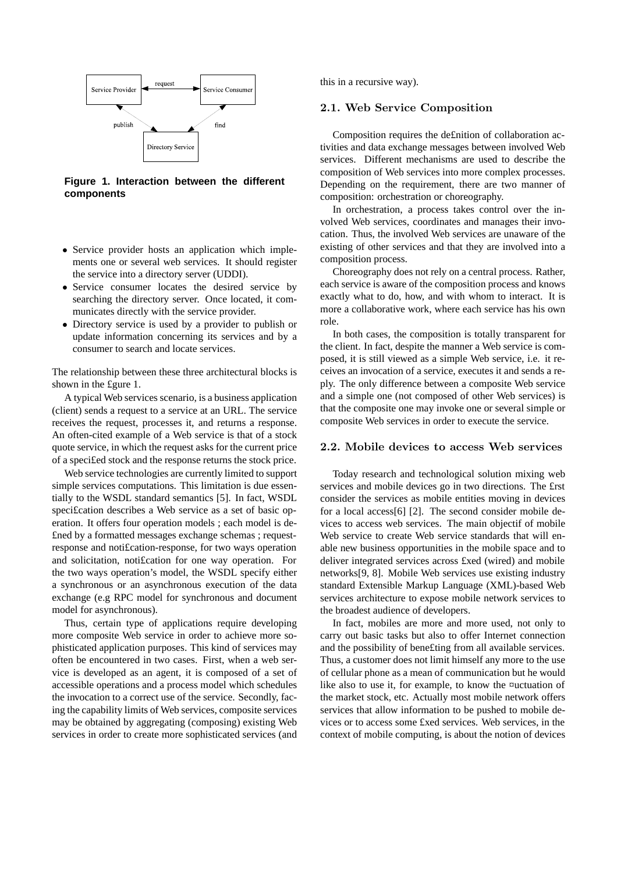

**Figure 1. Interaction between the different components**

- Service provider hosts an application which implements one or several web services. It should register the service into a directory server (UDDI).
- Service consumer locates the desired service by searching the directory server. Once located, it communicates directly with the service provider.
- Directory service is used by a provider to publish or update information concerning its services and by a consumer to search and locate services.

The relationship between these three architectural blocks is shown in the £gure 1.

A typical Web services scenario, is a business application (client) sends a request to a service at an URL. The service receives the request, processes it, and returns a response. An often-cited example of a Web service is that of a stock quote service, in which the request asks for the current price of a speci£ed stock and the response returns the stock price.

Web service technologies are currently limited to support simple services computations. This limitation is due essentially to the WSDL standard semantics [5]. In fact, WSDL speci£cation describes a Web service as a set of basic operation. It offers four operation models ; each model is de- £ned by a formatted messages exchange schemas ; requestresponse and noti£cation-response, for two ways operation and solicitation, noti£cation for one way operation. For the two ways operation's model, the WSDL specify either a synchronous or an asynchronous execution of the data exchange (e.g RPC model for synchronous and document model for asynchronous).

Thus, certain type of applications require developing more composite Web service in order to achieve more sophisticated application purposes. This kind of services may often be encountered in two cases. First, when a web service is developed as an agent, it is composed of a set of accessible operations and a process model which schedules the invocation to a correct use of the service. Secondly, facing the capability limits of Web services, composite services may be obtained by aggregating (composing) existing Web services in order to create more sophisticated services (and this in a recursive way).

### **2.1. Web Service Composition**

Composition requires the de£nition of collaboration activities and data exchange messages between involved Web services. Different mechanisms are used to describe the composition of Web services into more complex processes. Depending on the requirement, there are two manner of composition: orchestration or choreography.

In orchestration, a process takes control over the involved Web services, coordinates and manages their invocation. Thus, the involved Web services are unaware of the existing of other services and that they are involved into a composition process.

Choreography does not rely on a central process. Rather, each service is aware of the composition process and knows exactly what to do, how, and with whom to interact. It is more a collaborative work, where each service has his own role.

In both cases, the composition is totally transparent for the client. In fact, despite the manner a Web service is composed, it is still viewed as a simple Web service, i.e. it receives an invocation of a service, executes it and sends a reply. The only difference between a composite Web service and a simple one (not composed of other Web services) is that the composite one may invoke one or several simple or composite Web services in order to execute the service.

#### **2.2. Mobile devices to access Web services**

Today research and technological solution mixing web services and mobile devices go in two directions. The £rst consider the services as mobile entities moving in devices for a local access[6] [2]. The second consider mobile devices to access web services. The main objectif of mobile Web service to create Web service standards that will enable new business opportunities in the mobile space and to deliver integrated services across £xed (wired) and mobile networks[9, 8]. Mobile Web services use existing industry standard Extensible Markup Language (XML)-based Web services architecture to expose mobile network services to the broadest audience of developers.

In fact, mobiles are more and more used, not only to carry out basic tasks but also to offer Internet connection and the possibility of bene£ting from all available services. Thus, a customer does not limit himself any more to the use of cellular phone as a mean of communication but he would like also to use it, for example, to know the ¤uctuation of the market stock, etc. Actually most mobile network offers services that allow information to be pushed to mobile devices or to access some £xed services. Web services, in the context of mobile computing, is about the notion of devices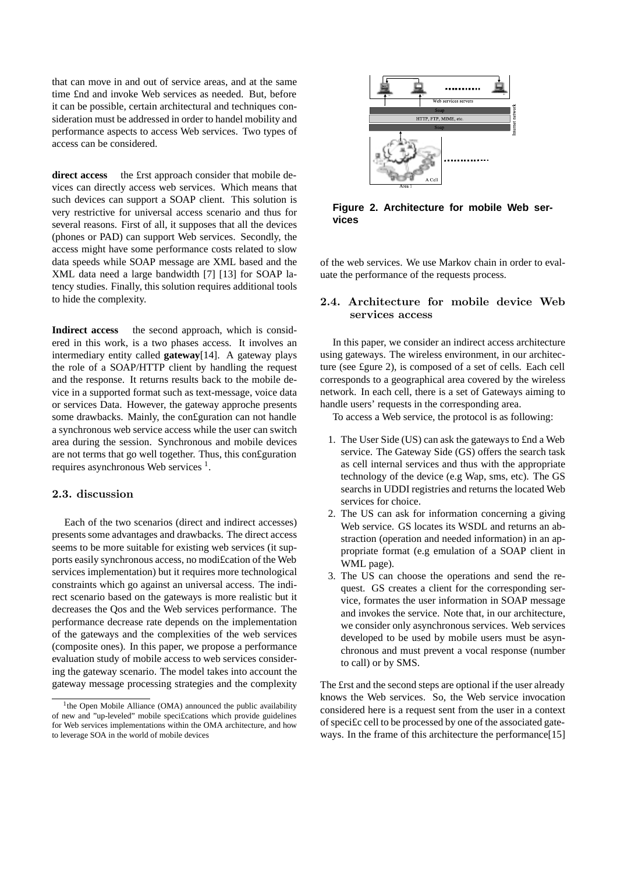that can move in and out of service areas, and at the same time £nd and invoke Web services as needed. But, before it can be possible, certain architectural and techniques consideration must be addressed in order to handel mobility and performance aspects to access Web services. Two types of access can be considered.

direct access the £rst approach consider that mobile devices can directly access web services. Which means that such devices can support a SOAP client. This solution is very restrictive for universal access scenario and thus for several reasons. First of all, it supposes that all the devices (phones or PAD) can support Web services. Secondly, the access might have some performance costs related to slow data speeds while SOAP message are XML based and the XML data need a large bandwidth [7] [13] for SOAP latency studies. Finally, this solution requires additional tools to hide the complexity.

**Indirect access** the second approach, which is considered in this work, is a two phases access. It involves an intermediary entity called **gateway**[14]. A gateway plays the role of a SOAP/HTTP client by handling the request and the response. It returns results back to the mobile device in a supported format such as text-message, voice data or services Data. However, the gateway approche presents some drawbacks. Mainly, the con£guration can not handle a synchronous web service access while the user can switch area during the session. Synchronous and mobile devices are not terms that go well together. Thus, this con£guration requires asynchronous Web services 1.

### **2.3. discussion**

Each of the two scenarios (direct and indirect accesses) presents some advantages and drawbacks. The direct access seems to be more suitable for existing web services (it supports easily synchronous access, no modi£cation of the Web services implementation) but it requires more technological constraints which go against an universal access. The indirect scenario based on the gateways is more realistic but it decreases the Qos and the Web services performance. The performance decrease rate depends on the implementation of the gateways and the complexities of the web services (composite ones). In this paper, we propose a performance evaluation study of mobile access to web services considering the gateway scenario. The model takes into account the gateway message processing strategies and the complexity



**Figure 2. Architecture for mobile Web services**

of the web services. We use Markov chain in order to evaluate the performance of the requests process.

### **2.4. Architecture for mobile device Web services access**

In this paper, we consider an indirect access architecture using gateways. The wireless environment, in our architecture (see £gure 2), is composed of a set of cells. Each cell corresponds to a geographical area covered by the wireless network. In each cell, there is a set of Gateways aiming to handle users' requests in the corresponding area.

To access a Web service, the protocol is as following:

- 1. The User Side (US) can ask the gateways to £nd a Web service. The Gateway Side (GS) offers the search task as cell internal services and thus with the appropriate technology of the device (e.g Wap, sms, etc). The GS searchs in UDDI registries and returns the located Web services for choice.
- 2. The US can ask for information concerning a giving Web service. GS locates its WSDL and returns an abstraction (operation and needed information) in an appropriate format (e.g emulation of a SOAP client in WML page).
- 3. The US can choose the operations and send the request. GS creates a client for the corresponding service, formates the user information in SOAP message and invokes the service. Note that, in our architecture, we consider only asynchronous services. Web services developed to be used by mobile users must be asynchronous and must prevent a vocal response (number to call) or by SMS.

The £rst and the second steps are optional if the user already knows the Web services. So, the Web service invocation considered here is a request sent from the user in a context of speci£c cell to be processed by one of the associated gateways. In the frame of this architecture the performance [15]

 $1$ <sup>1</sup>the Open Mobile Alliance (OMA) announced the public availability of new and "up-leveled" mobile speci£cations which provide guidelines for Web services implementations within the OMA architecture, and how to leverage SOA in the world of mobile devices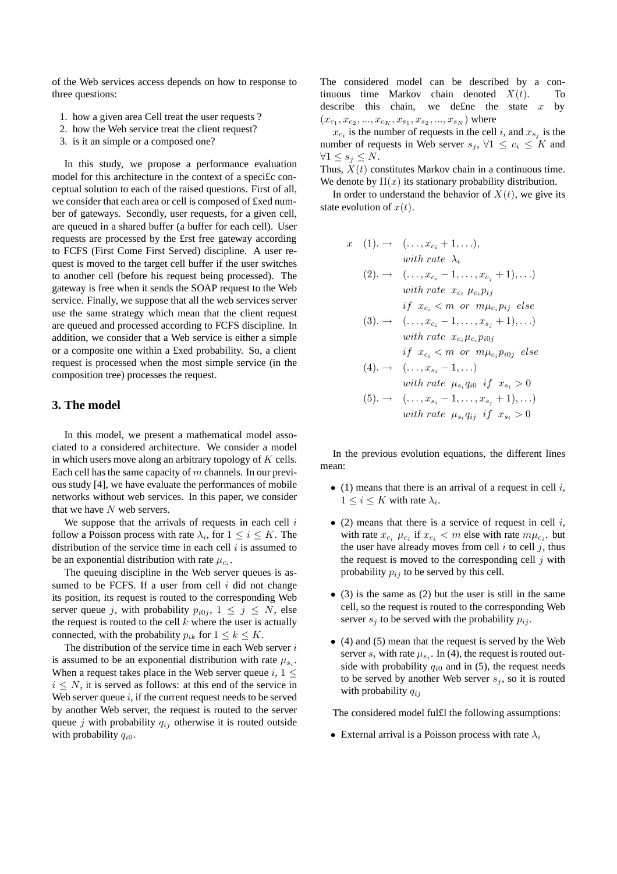of the Web services access depends on how to response to three questions:

- 1. how a given area Cell treat the user requests ?
- 2. how the Web service treat the client request?
- 3. is it an simple or a composed one?

In this study, we propose a performance evaluation model for this architecture in the context of a speci£c conceptual solution to each of the raised questions. First of all, we consider that each area or cell is composed of £xed number of gateways. Secondly, user requests, for a given cell, are queued in a shared buffer (a buffer for each cell). User requests are processed by the £rst free gateway according to FCFS (First Come First Served) discipline. A user request is moved to the target cell buffer if the user switches to another cell (before his request being processed). The gateway is free when it sends the SOAP request to the Web service. Finally, we suppose that all the web services server use the same strategy which mean that the client request are queued and processed according to FCFS discipline. In addition, we consider that a Web service is either a simple or a composite one within a £xed probability. So, a client request is processed when the most simple service (in the composition tree) processes the request.

### **3. The model**

In this model, we present a mathematical model associated to a considered architecture. We consider a model in which users move along an arbitrary topology of  $K$  cells. Each cell has the same capacity of  $m$  channels. In our previous study [4], we have evaluate the performances of mobile networks without web services. In this paper, we consider that we have  $N$  web servers.

We suppose that the arrivals of requests in each cell  $i$ follow a Poisson process with rate  $\lambda_i$ , for  $1 \leq i \leq K$ . The distribution of the service time in each cell  $i$  is assumed to be an exponential distribution with rate  $\mu_{c_i}$ .

The queuing discipline in the Web server queues is assumed to be FCFS. If a user from cell  $i$  did not change its position, its request is routed to the corresponding Web server queue j, with probability  $p_{i0j}$ ,  $1 \le j \le N$ , else the request is routed to the cell  $k$  where the user is actually connected, with the probability  $p_{ik}$  for  $1 \leq k \leq K$ .

The distribution of the service time in each Web server  $i$ is assumed to be an exponential distribution with rate  $\mu_{s_i}$ . When a request takes place in the Web server queue i,  $1 \leq$  $i \leq N$ , it is served as follows: at this end of the service in Web server queue  $i$ , if the current request needs to be served by another Web server, the request is routed to the server queue j with probability  $q_{ij}$  otherwise it is routed outside with probability  $q_{i0}$ .

The considered model can be described by a continuous time Markov chain denoted  $X(t)$ . To describe this chain, we define the state  $x$  by  $(x_{c_1}, x_{c_2}, ..., x_{c_K}, x_{s_1}, x_{s_2}, ..., x_{s_N})$  where

 $x_{c_i}$  is the number of requests in the cell i, and  $x_{s_i}$  is the number of requests in Web server  $s_j$ ,  $\forall 1 \leq c_i \leq K$  and  $\forall 1 \leq s_j \leq N.$ 

Thus,  $X(t)$  constitutes Markov chain in a continuous time. We denote by  $\Pi(x)$  its stationary probability distribution.

In order to understand the behavior of  $X(t)$ , we give its state evolution of  $x(t)$ .

$$
x (1) \rightarrow (\ldots, x_{c_i} + 1, \ldots),
$$
  
\nwith rate  $\lambda_i$   
\n
$$
(2) \rightarrow (\ldots, x_{c_i} - 1, \ldots, x_{c_j} + 1), \ldots)
$$
  
\nwith rate  $x_{c_i} \mu_{c_i} p_{ij}$   
\nif  $x_{c_i} < m$  or  $m\mu_{c_i} p_{ij}$  else  
\n
$$
(3) \rightarrow (\ldots, x_{c_i} - 1, \ldots, x_{s_j} + 1), \ldots)
$$
  
\nwith rate  $x_{c_i} \mu_{c_i} p_{i0j}$   
\nif  $x_{c_i} < m$  or  $m\mu_{c_i} p_{i0j}$  else  
\n
$$
(4) \rightarrow (\ldots, x_{s_i} - 1, \ldots)
$$
  
\nwith rate  $\mu_{s_i} q_{i0}$  if  $x_{s_i} > 0$   
\n
$$
(5) \rightarrow (\ldots, x_{s_i} - 1, \ldots, x_{s_j} + 1), \ldots)
$$
  
\nwith rate  $\mu_{s_i} q_{ij}$  if  $x_{s_i} > 0$ 

In the previous evolution equations, the different lines mean:

- (1) means that there is an arrival of a request in cell  $i$ ,  $1 \leq i \leq K$  with rate  $\lambda_i$ .
- (2) means that there is a service of request in cell  $i$ , with rate  $x_{c_i}$   $\mu_{c_i}$  if  $x_{c_i} < m$  else with rate  $m\mu_{c_i}$ , but the user have already moves from cell  $i$  to cell  $j$ , thus the request is moved to the corresponding cell  $j$  with probability  $p_{ij}$  to be served by this cell.
- (3) is the same as (2) but the user is still in the same cell, so the request is routed to the corresponding Web server  $s_i$  to be served with the probability  $p_{ij}$ .
- (4) and (5) mean that the request is served by the Web server  $s_i$  with rate  $\mu_{s_i}$ . In (4), the request is routed outside with probability  $q_{i0}$  and in (5), the request needs to be served by another Web server  $s_i$ , so it is routed with probability  $q_{ij}$

The considered model ful£l the following assumptions:

• External arrival is a Poisson process with rate  $\lambda_i$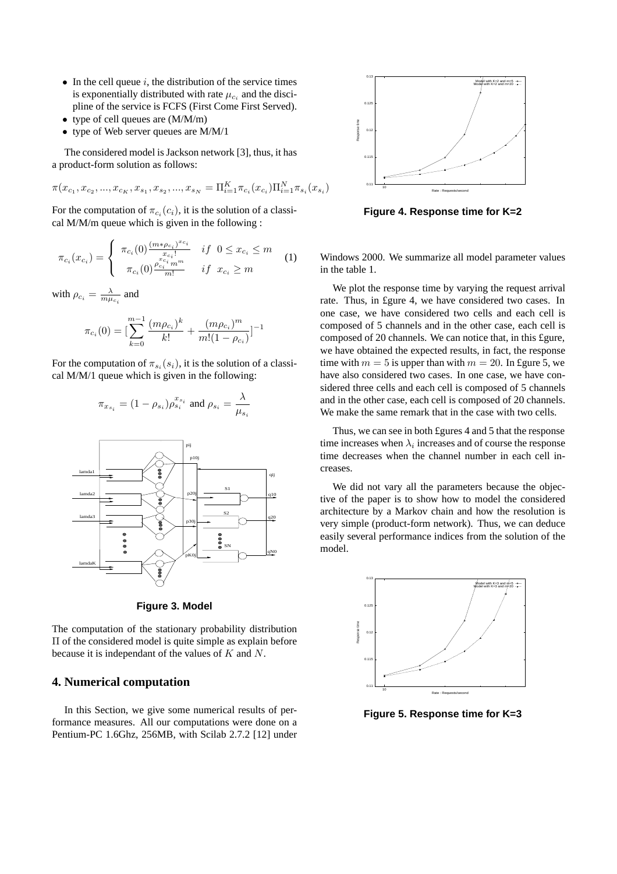- In the cell queue  $i$ , the distribution of the service times is exponentially distributed with rate  $\mu_{c_i}$  and the discipline of the service is FCFS (First Come First Served).
- type of cell queues are  $(M/M/m)$
- type of Web server queues are M/M/1

The considered model is Jackson network [3], thus, it has a product-form solution as follows:

$$
\pi(x_{c_1}, x_{c_2}, ..., x_{c_K}, x_{s_1}, x_{s_2}, ..., x_{s_N}) = \Pi_{i=1}^K \pi_{c_i}(x_{c_i}) \Pi_{i=1}^N \pi_{s_i}(x_{s_i})
$$

For the computation of  $\pi_{c_i}(c_i)$ , it is the solution of a classical M/M/m queue which is given in the following :

$$
\pi_{c_i}(x_{c_i}) = \begin{cases}\n\pi_{c_i}(0) \frac{(m * \rho_{c_i})^{x_{c_i}}}{x_{c_i}!} & if \ 0 \leq x_{c_i} \leq m \\
\pi_{c_i}(0) \frac{\rho_{c_i}^{x_{c_i}} m^m}{m!} & if \ x_{c_i} \geq m\n\end{cases} \tag{1}
$$

with  $\rho_{c_i} = \frac{\lambda}{m \mu_{c_i}}$  and

$$
\pi_{c_i}(0) = \left[\sum_{k=0}^{m-1} \frac{(m\rho_{c_i})^k}{k!} + \frac{(m\rho_{c_i})^m}{m!(1-\rho_{c_i})}\right]^{-1}
$$

For the computation of  $\pi_{s_i}(s_i)$ , it is the solution of a classical M/M/1 queue which is given in the following:





**Figure 3. Model**

The computation of the stationary probability distribution Π of the considered model is quite simple as explain before because it is independant of the values of K and N.

### **4. Numerical computation**

In this Section, we give some numerical results of performance measures. All our computations were done on a Pentium-PC 1.6Ghz, 256MB, with Scilab 2.7.2 [12] under



**Figure 4. Response time for K=2**

Windows 2000. We summarize all model parameter values in the table 1.

We plot the response time by varying the request arrival rate. Thus, in £gure 4, we have considered two cases. In one case, we have considered two cells and each cell is composed of 5 channels and in the other case, each cell is composed of 20 channels. We can notice that, in this £gure, we have obtained the expected results, in fact, the response time with  $m = 5$  is upper than with  $m = 20$ . In £gure 5, we have also considered two cases. In one case, we have considered three cells and each cell is composed of 5 channels and in the other case, each cell is composed of 20 channels. We make the same remark that in the case with two cells.

Thus, we can see in both £gures 4 and 5 that the response time increases when  $\lambda_i$  increases and of course the response time decreases when the channel number in each cell increases.

We did not vary all the parameters because the objective of the paper is to show how to model the considered architecture by a Markov chain and how the resolution is very simple (product-form network). Thus, we can deduce easily several performance indices from the solution of the model.



**Figure 5. Response time for K=3**